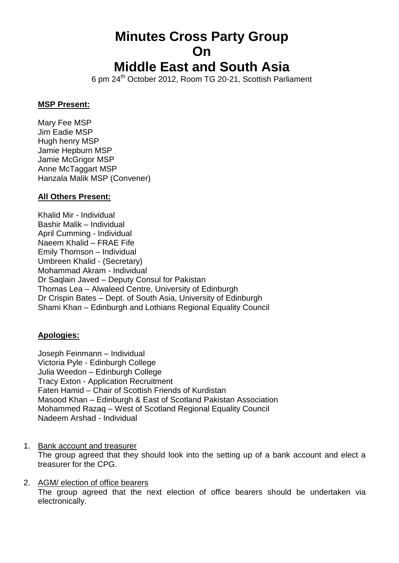# **Minutes Cross Party Group On**

# **Middle East and South Asia**

6 pm 24<sup>th</sup> October 2012, Room TG 20-21, Scottish Parliament

#### **MSP Present:**

Mary Fee MSP Jim Eadie MSP Hugh henry MSP Jamie Hepburn MSP Jamie McGrigor MSP Anne McTaggart MSP Hanzala Malik MSP (Convener)

## **All Others Present:**

Khalid Mir - Individual Bashir Malik – Individual April Cumming - Individual Naeem Khalid – FRAE Fife Emily Thomson – Individual Umbreen Khalid - (Secretary) Mohammad Akram - Individual Dr Saqlain Javed – Deputy Consul for Pakistan Thomas Lea – Alwaleed Centre, University of Edinburgh Dr Crispin Bates – Dept. of South Asia, University of Edinburgh Shami Khan – Edinburgh and Lothians Regional Equality Council

# **Apologies:**

Joseph Feinmann – Individual Victoria Pyle - Edinburgh College Julia Weedon – Edinburgh College Tracy Exton - Application Recruitment Faten Hamid – Chair of Scottish Friends of Kurdistan Masood Khan – Edinburgh & East of Scotland Pakistan Association Mohammed Razaq – West of Scotland Regional Equality Council Nadeem Arshad - Individual

- 1. Bank account and treasurer The group agreed that they should look into the setting up of a bank account and elect a treasurer for the CPG.
- 2. AGM/ election of office bearers The group agreed that the next election of office bearers should be undertaken via electronically.